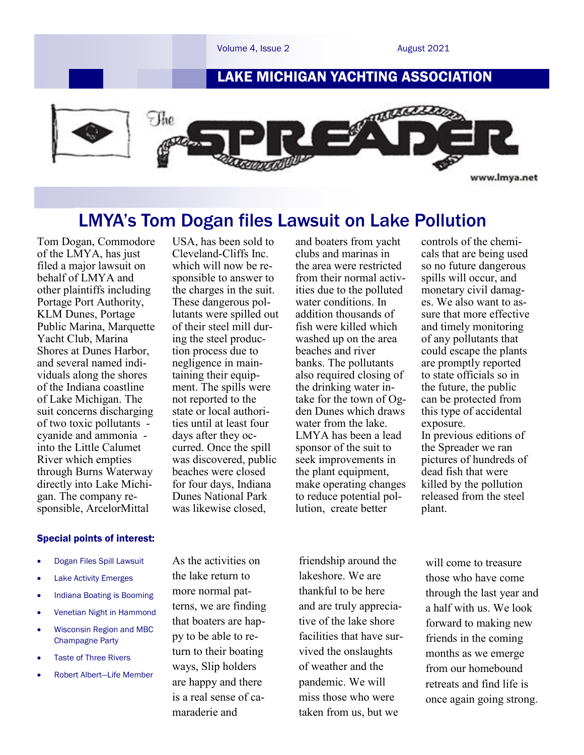

# LMYA's Tom Dogan files Lawsuit on Lake Pollution

Tom Dogan, Commodore of the LMYA, has just filed a major lawsuit on behalf of LMYA and other plaintiffs including Portage Port Authority, KLM Dunes, Portage Public Marina, Marquette Yacht Club, Marina Shores at Dunes Harbor, and several named individuals along the shores of the Indiana coastline of Lake Michigan. The suit concerns discharging of two toxic pollutants cyanide and ammonia into the Little Calumet River which empties through Burns Waterway directly into Lake Michigan. The company responsible, ArcelorMittal

#### Special points of interest:

- Dogan Files Spill Lawsuit
- Lake Activity Emerges
- Indiana Boating is Booming
- Venetian Night in Hammond
- Wisconsin Region and MBC Champagne Party
- Taste of Three Rivers
- Robert Albert—Life Member

USA, has been sold to Cleveland-Cliffs Inc. which will now be responsible to answer to the charges in the suit. These dangerous pollutants were spilled out of their steel mill during the steel production process due to negligence in maintaining their equipment. The spills were not reported to the state or local authorities until at least four days after they occurred. Once the spill was discovered, public beaches were closed for four days, Indiana Dunes National Park was likewise closed,

As the activities on the lake return to more normal patterns, we are finding that boaters are happy to be able to return to their boating ways, Slip holders are happy and there is a real sense of camaraderie and

and boaters from yacht clubs and marinas in the area were restricted from their normal activities due to the polluted water conditions. In addition thousands of fish were killed which washed up on the area beaches and river banks. The pollutants also required closing of the drinking water intake for the town of Ogden Dunes which draws water from the lake. LMYA has been a lead sponsor of the suit to seek improvements in the plant equipment, make operating changes to reduce potential pollution, create better

friendship around the lakeshore. We are thankful to be here and are truly appreciative of the lake shore facilities that have survived the onslaughts of weather and the pandemic. We will miss those who were taken from us, but we

controls of the chemicals that are being used so no future dangerous spills will occur, and monetary civil damages. We also want to assure that more effective and timely monitoring of any pollutants that could escape the plants are promptly reported to state officials so in the future, the public can be protected from this type of accidental exposure. In previous editions of the Spreader we ran pictures of hundreds of dead fish that were killed by the pollution released from the steel plant.

will come to treasure those who have come through the last year and a half with us. We look forward to making new friends in the coming months as we emerge from our homebound retreats and find life is once again going strong.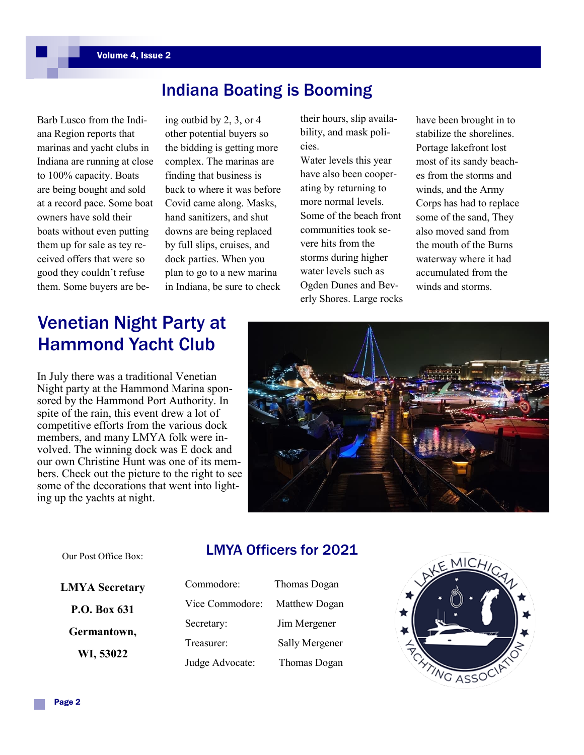# Indiana Boating is Booming

Barb Lusco from the Indiana Region reports that marinas and yacht clubs in Indiana are running at close to 100% capacity. Boats are being bought and sold at a record pace. Some boat owners have sold their boats without even putting them up for sale as tey received offers that were so good they couldn't refuse them. Some buyers are be-

ing outbid by 2, 3, or 4 other potential buyers so the bidding is getting more complex. The marinas are finding that business is back to where it was before Covid came along. Masks, hand sanitizers, and shut downs are being replaced by full slips, cruises, and dock parties. When you plan to go to a new marina in Indiana, be sure to check

their hours, slip availability, and mask policies.

Water levels this year have also been cooperating by returning to more normal levels. Some of the beach front communities took severe hits from the storms during higher water levels such as Ogden Dunes and Beverly Shores. Large rocks have been brought in to stabilize the shorelines. Portage lakefront lost most of its sandy beaches from the storms and winds, and the Army Corps has had to replace some of the sand, They also moved sand from the mouth of the Burns waterway where it had accumulated from the winds and storms.

# Venetian Night Party at Hammond Yacht Club

In July there was a traditional Venetian Night party at the Hammond Marina sponsored by the Hammond Port Authority. In spite of the rain, this event drew a lot of competitive efforts from the various dock members, and many LMYA folk were involved. The winning dock was E dock and our own Christine Hunt was one of its members. Check out the picture to the right to see some of the decorations that went into lighting up the yachts at night.



#### Our Post Office Box:

### LMYA Officers for 2021

**LMYA Secretary P.O. Box 631 Germantown, WI, 53022**

| Commodore:      | Thoma |
|-----------------|-------|
| Vice Commodore: | Matth |
| Secretary:      | Jim M |
| Treasurer:      | Sally |
| Judge Advocate: | Thom  |